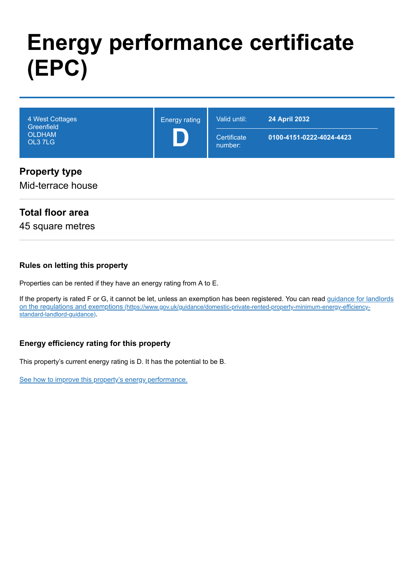# **Energy performance certificate (EPC)**

| 4 West Cottages<br>Greenfield<br><b>OLDHAM</b><br>OL3 7LG | <b>Energy rating</b> | Valid until:<br>Certificate<br>number: | <b>24 April 2032</b><br>0100-4151-0222-4024-4423 |
|-----------------------------------------------------------|----------------------|----------------------------------------|--------------------------------------------------|
| <b>Property type</b><br>Mid-terrace house                 |                      |                                        |                                                  |

# **Total floor area**

45 square metres

#### **Rules on letting this property**

Properties can be rented if they have an energy rating from A to E.

[If the property is rated F or G, it cannot be let, unless an exemption has been registered. You can read guidance for landlords](https://www.gov.uk/guidance/domestic-private-rented-property-minimum-energy-efficiency-standard-landlord-guidance) on the regulations and exemptions (https://www.gov.uk/guidance/domestic-private-rented-property-minimum-energy-efficiencystandard-landlord-guidance).

#### **Energy efficiency rating for this property**

This property's current energy rating is D. It has the potential to be B.

[See how to improve this property's energy performance.](#page-3-0)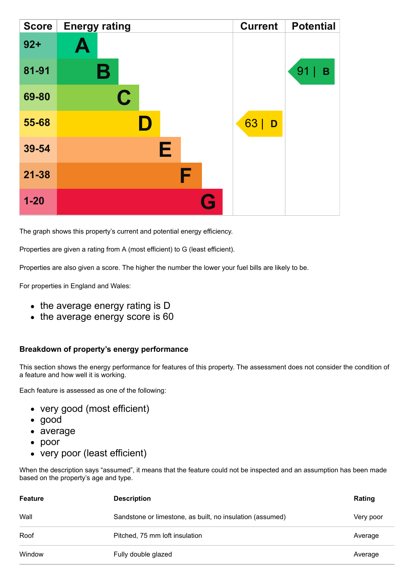| <b>Score</b> | <b>Energy rating</b> | <b>Current</b> | <b>Potential</b> |
|--------------|----------------------|----------------|------------------|
| $92 +$       | $\blacktriangle$     |                |                  |
| 81-91        | В                    |                | 91<br>B          |
| 69-80        | $\mathbf C$          |                |                  |
| 55-68        |                      | 63<br>D        |                  |
| 39-54        | Е                    |                |                  |
| $21 - 38$    | F                    |                |                  |
| $1 - 20$     | Q                    |                |                  |

The graph shows this property's current and potential energy efficiency.

Properties are given a rating from A (most efficient) to G (least efficient).

Properties are also given a score. The higher the number the lower your fuel bills are likely to be.

For properties in England and Wales:

- the average energy rating is D
- the average energy score is 60

#### **Breakdown of property's energy performance**

This section shows the energy performance for features of this property. The assessment does not consider the condition of a feature and how well it is working.

Each feature is assessed as one of the following:

- very good (most efficient)
- good
- average
- poor
- very poor (least efficient)

When the description says "assumed", it means that the feature could not be inspected and an assumption has been made based on the property's age and type.

| <b>Feature</b> | <b>Description</b>                                        | <b>Rating</b> |
|----------------|-----------------------------------------------------------|---------------|
| Wall           | Sandstone or limestone, as built, no insulation (assumed) | Very poor     |
| Roof           | Pitched, 75 mm loft insulation                            | Average       |
| Window         | Fully double glazed                                       | Average       |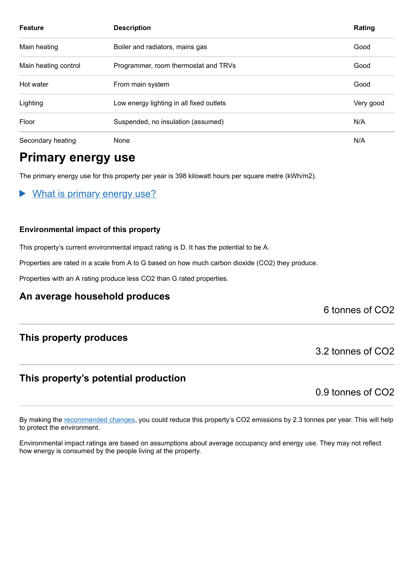| <b>Feature</b>       | <b>Description</b>                       | Rating    |
|----------------------|------------------------------------------|-----------|
| Main heating         | Boiler and radiators, mains gas          | Good      |
| Main heating control | Programmer, room thermostat and TRVs     | Good      |
| Hot water            | From main system                         | Good      |
| Lighting             | Low energy lighting in all fixed outlets | Very good |
| Floor                | Suspended, no insulation (assumed)       | N/A       |
| Secondary heating    | None                                     | N/A       |

# **Primary energy use**

The primary energy use for this property per year is 398 kilowatt hours per square metre (kWh/m2).

What is primary energy use?  $\blacktriangleright$ 

#### **Environmental impact of this property**

This property's current environmental impact rating is D. It has the potential to be A.

Properties are rated in a scale from A to G based on how much carbon dioxide (CO2) they produce.

Properties with an A rating produce less CO2 than G rated properties.

# **An average household produces**

6 tonnes of CO2

# **This property produces**

# **This property's potential production**

0.9 tonnes of CO2

3.2 tonnes of CO2

By making the [recommended changes,](#page-3-0) you could reduce this property's CO2 emissions by 2.3 tonnes per year. This will help to protect the environment.

Environmental impact ratings are based on assumptions about average occupancy and energy use. They may not reflect how energy is consumed by the people living at the property.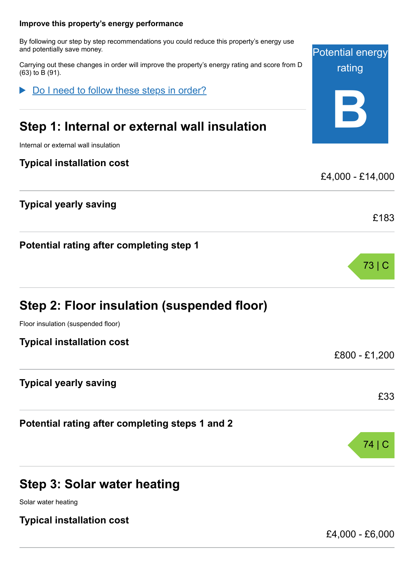# <span id="page-3-0"></span>**Potential energy** rating **B Improve this property's energy performance** By following our step by step recommendations you could reduce this property's energy use and potentially save money. Carrying out these changes in order will improve the property's energy rating and score from D (63) to B (91). **Step 1: Internal or external wall insulation** Internal or external wall insulation **Typical installation cost** £4,000 - £14,000 **Typical yearly saving** £183 **Potential rating after completing step 1** 73 | C **Step 2: Floor insulation (suspended floor)** Floor insulation (suspended floor) **Typical installation cost** £800 - £1,200 **Typical yearly saving** £33 **Potential rating after completing steps 1 and 2** 74 | C Do I need to follow these steps in order?

# **Step 3: Solar water heating**

Solar water heating

# **Typical installation cost**

£4,000 - £6,000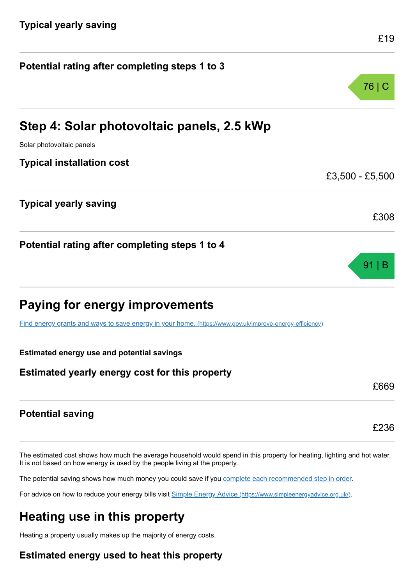| Potential rating after completing steps 1 to 3                                                          |                 |
|---------------------------------------------------------------------------------------------------------|-----------------|
|                                                                                                         | 76   C          |
| Step 4: Solar photovoltaic panels, 2.5 kWp                                                              |                 |
| Solar photovoltaic panels                                                                               |                 |
| <b>Typical installation cost</b>                                                                        |                 |
|                                                                                                         | £3,500 - £5,500 |
| <b>Typical yearly saving</b>                                                                            | £308            |
| Potential rating after completing steps 1 to 4                                                          | $91 \mid B$     |
| <b>Paying for energy improvements</b>                                                                   |                 |
| Find energy grants and ways to save energy in your home. (https://www.gov.uk/improve-energy-efficiency) |                 |
| <b>Estimated energy use and potential savings</b>                                                       |                 |
| Estimated yearly energy cost for this property                                                          |                 |
|                                                                                                         | £669            |

# **Potential saving**

The estimated cost shows how much the average household would spend in this property for heating, lighting and hot water. It is not based on how energy is used by the people living at the property.

The potential saving shows how much money you could save if you [complete each recommended step in order](#page-3-0).

For advice on how to reduce your energy bills visit Simple Energy Advice [\(https://www.simpleenergyadvice.org.uk/\)](https://www.simpleenergyadvice.org.uk/).

# **Heating use in this property**

Heating a property usually makes up the majority of energy costs.

# **Estimated energy used to heat this property**

£236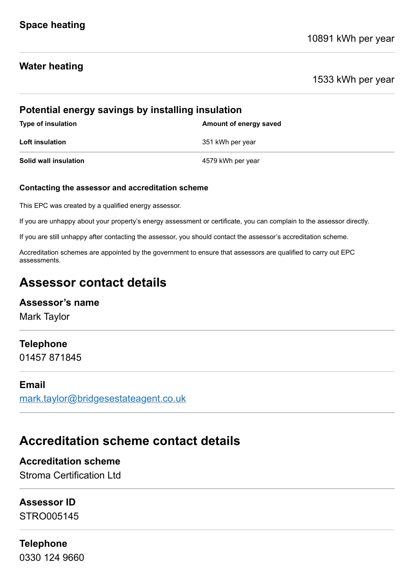# **Water heating**

1533 kWh per year

| Potential energy savings by installing insulation |                        |  |
|---------------------------------------------------|------------------------|--|
| <b>Type of insulation</b>                         | Amount of energy saved |  |
| <b>Loft insulation</b>                            | 351 kWh per year       |  |
| Solid wall insulation                             | 4579 kWh per year      |  |

#### **Contacting the assessor and accreditation scheme**

This EPC was created by a qualified energy assessor.

If you are unhappy about your property's energy assessment or certificate, you can complain to the assessor directly.

If you are still unhappy after contacting the assessor, you should contact the assessor's accreditation scheme.

Accreditation schemes are appointed by the government to ensure that assessors are qualified to carry out EPC assessments.

# **Assessor contact details**

# **Assessor's name**

Mark Taylor

# **Telephone**

01457 871845

#### **Email**

[mark.taylor@bridgesestateagent.co.uk](mailto:mark.taylor@bridgesestateagent.co.uk)

# **Accreditation scheme contact details**

**Accreditation scheme** Stroma Certification Ltd

# **Assessor ID**

STRO005145

# **Telephone**

0330 124 9660